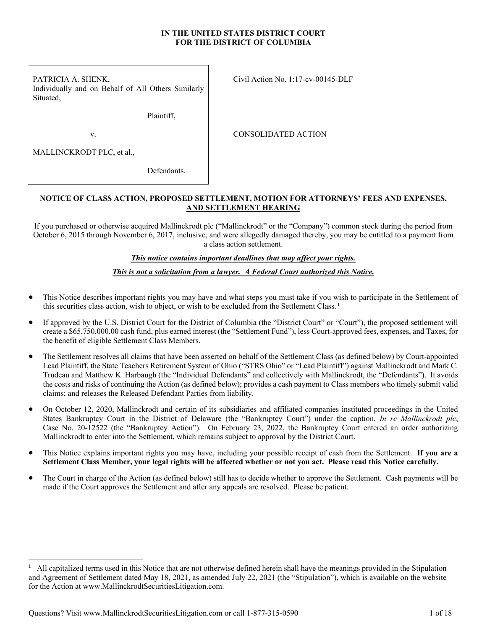# **IN THE UNITED STATES DISTRICT COURT FOR THE DISTRICT OF COLUMBIA**

PATRICIA A. SHENK, Individually and on Behalf of All Others Similarly Situated,

Civil Action No. 1:17-cv-00145-DLF

Plaintiff,

v.

CONSOLIDATED ACTION

MALLINCKRODT PLC, et al.,

Defendants.

# **NOTICE OF CLASS ACTION, PROPOSED SETTLEMENT, MOTION FOR ATTORNEYS' FEES AND EXPENSES, AND SETTLEMENT HEARING**

If you purchased or otherwise acquired Mallinckrodt plc ("Mallinckrodt" or the "Company") common stock during the period from October 6, 2015 through November 6, 2017, inclusive, and were allegedly damaged thereby, you may be entitled to a payment from a class action settlement.

# *This notice contains important deadlines that may affect your rights.*

# *This is not a solicitation from a lawyer. A Federal Court authorized this Notice.*

- This Notice describes important rights you may have and what steps you must take if you wish to participate in the Settlement of this securities class action, wish to object, or wish to be excluded from the Settlement Class.**<sup>1</sup>**
- If approved by the U.S. District Court for the District of Columbia (the "District Court" or "Court"), the proposed settlement will create a \$65,750,000.00 cash fund, plus earned interest (the "Settlement Fund"), less Court-approved fees, expenses, and Taxes, for the benefit of eligible Settlement Class Members.
- The Settlement resolves all claims that have been asserted on behalf of the Settlement Class (as defined below) by Court-appointed Lead Plaintiff, the State Teachers Retirement System of Ohio ("STRS Ohio" or "Lead Plaintiff") against Mallinckrodt and Mark C. Trudeau and Matthew K. Harbaugh (the "Individual Defendants" and collectively with Mallinckrodt, the "Defendants"). It avoids the costs and risks of continuing the Action (as defined below); provides a cash payment to Class members who timely submit valid claims; and releases the Released Defendant Parties from liability.
- On October 12, 2020, Mallinckrodt and certain of its subsidiaries and affiliated companies instituted proceedings in the United States Bankruptcy Court in the District of Delaware (the "Bankruptcy Court") under the caption, *In re Mallinckrodt plc*, Case No. 20-12522 (the "Bankruptcy Action"). On February 23, 2022, the Bankruptcy Court entered an order authorizing Mallinckrodt to enter into the Settlement, which remains subject to approval by the District Court.
- This Notice explains important rights you may have, including your possible receipt of cash from the Settlement. **If you are a Settlement Class Member, your legal rights will be affected whether or not you act. Please read this Notice carefully.**
- The Court in charge of the Action (as defined below) still has to decide whether to approve the Settlement. Cash payments will be made if the Court approves the Settlement and after any appeals are resolved. Please be patient.

**<sup>1</sup>** All capitalized terms used in this Notice that are not otherwise defined herein shall have the meanings provided in the Stipulation and Agreement of Settlement dated May 18, 2021, as amended July 22, 2021 (the "Stipulation"), which is available on the website for the Action at www.MallinckrodtSecuritiesLitigation.com.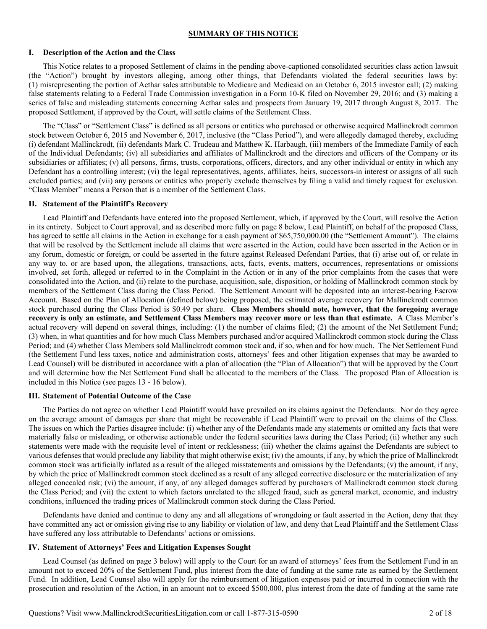### **SUMMARY OF THIS NOTICE**

#### **I. Description of the Action and the Class**

 This Notice relates to a proposed Settlement of claims in the pending above-captioned consolidated securities class action lawsuit (the "Action") brought by investors alleging, among other things, that Defendants violated the federal securities laws by: (1) misrepresenting the portion of Acthar sales attributable to Medicare and Medicaid on an October 6, 2015 investor call; (2) making false statements relating to a Federal Trade Commission investigation in a Form 10-K filed on November 29, 2016; and (3) making a series of false and misleading statements concerning Acthar sales and prospects from January 19, 2017 through August 8, 2017. The proposed Settlement, if approved by the Court, will settle claims of the Settlement Class.

 The "Class" or "Settlement Class" is defined as all persons or entities who purchased or otherwise acquired Mallinckrodt common stock between October 6, 2015 and November 6, 2017, inclusive (the "Class Period"), and were allegedly damaged thereby, excluding (i) defendant Mallinckrodt, (ii) defendants Mark C. Trudeau and Matthew K. Harbaugh, (iii) members of the Immediate Family of each of the Individual Defendants; (iv) all subsidiaries and affiliates of Mallinckrodt and the directors and officers of the Company or its subsidiaries or affiliates; (v) all persons, firms, trusts, corporations, officers, directors, and any other individual or entity in which any Defendant has a controlling interest; (vi) the legal representatives, agents, affiliates, heirs, successors-in interest or assigns of all such excluded parties; and (vii) any persons or entities who properly exclude themselves by filing a valid and timely request for exclusion. "Class Member" means a Person that is a member of the Settlement Class.

#### **II. Statement of the Plaintiff's Recovery**

Lead Plaintiff and Defendants have entered into the proposed Settlement, which, if approved by the Court, will resolve the Action in its entirety. Subject to Court approval, and as described more fully on page 8 below, Lead Plaintiff, on behalf of the proposed Class, has agreed to settle all claims in the Action in exchange for a cash payment of \$65,750,000.00 (the "Settlement Amount"). The claims that will be resolved by the Settlement include all claims that were asserted in the Action, could have been asserted in the Action or in any forum, domestic or foreign, or could be asserted in the future against Released Defendant Parties, that (i) arise out of, or relate in any way to, or are based upon, the allegations, transactions, acts, facts, events, matters, occurrences, representations or omissions involved, set forth, alleged or referred to in the Complaint in the Action or in any of the prior complaints from the cases that were consolidated into the Action, and (ii) relate to the purchase, acquisition, sale, disposition, or holding of Mallinckrodt common stock by members of the Settlement Class during the Class Period. The Settlement Amount will be deposited into an interest-bearing Escrow Account. Based on the Plan of Allocation (defined below) being proposed, the estimated average recovery for Mallinckrodt common stock purchased during the Class Period is \$0.49 per share. **Class Members should note, however, that the foregoing average recovery is only an estimate, and Settlement Class Members may recover more or less than that estimate.** A Class Member's actual recovery will depend on several things, including: (1) the number of claims filed; (2) the amount of the Net Settlement Fund; (3) when, in what quantities and for how much Class Members purchased and/or acquired Mallinckrodt common stock during the Class Period; and (4) whether Class Members sold Mallinckrodt common stock and, if so, when and for how much. The Net Settlement Fund (the Settlement Fund less taxes, notice and administration costs, attorneys' fees and other litigation expenses that may be awarded to Lead Counsel) will be distributed in accordance with a plan of allocation (the "Plan of Allocation") that will be approved by the Court and will determine how the Net Settlement Fund shall be allocated to the members of the Class. The proposed Plan of Allocation is included in this Notice (see pages 13 - 16 below).

### **III. Statement of Potential Outcome of the Case**

The Parties do not agree on whether Lead Plaintiff would have prevailed on its claims against the Defendants. Nor do they agree on the average amount of damages per share that might be recoverable if Lead Plaintiff were to prevail on the claims of the Class. The issues on which the Parties disagree include: (i) whether any of the Defendants made any statements or omitted any facts that were materially false or misleading, or otherwise actionable under the federal securities laws during the Class Period; (ii) whether any such statements were made with the requisite level of intent or recklessness; (iii) whether the claims against the Defendants are subject to various defenses that would preclude any liability that might otherwise exist; (iv) the amounts, if any, by which the price of Mallinckrodt common stock was artificially inflated as a result of the alleged misstatements and omissions by the Defendants; (v) the amount, if any, by which the price of Mallinckrodt common stock declined as a result of any alleged corrective disclosure or the materialization of any alleged concealed risk; (vi) the amount, if any, of any alleged damages suffered by purchasers of Mallinckrodt common stock during the Class Period; and (vii) the extent to which factors unrelated to the alleged fraud, such as general market, economic, and industry conditions, influenced the trading prices of Mallinckrodt common stock during the Class Period.

Defendants have denied and continue to deny any and all allegations of wrongdoing or fault asserted in the Action, deny that they have committed any act or omission giving rise to any liability or violation of law, and deny that Lead Plaintiff and the Settlement Class have suffered any loss attributable to Defendants' actions or omissions.

### **IV. Statement of Attorneys' Fees and Litigation Expenses Sought**

Lead Counsel (as defined on page 3 below) will apply to the Court for an award of attorneys' fees from the Settlement Fund in an amount not to exceed 20% of the Settlement Fund, plus interest from the date of funding at the same rate as earned by the Settlement Fund. In addition, Lead Counsel also will apply for the reimbursement of litigation expenses paid or incurred in connection with the prosecution and resolution of the Action, in an amount not to exceed \$500,000, plus interest from the date of funding at the same rate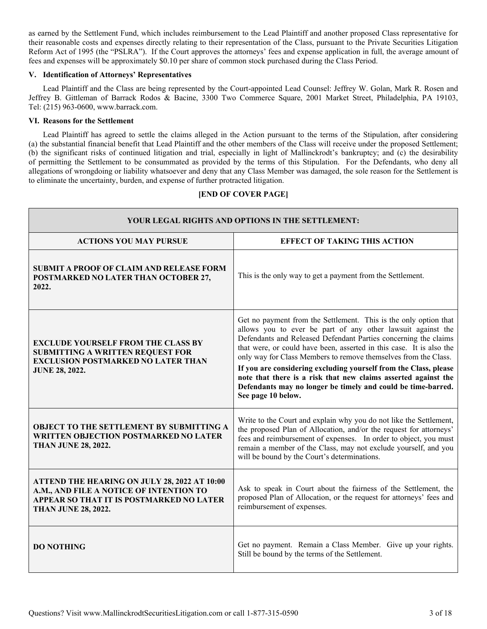as earned by the Settlement Fund, which includes reimbursement to the Lead Plaintiff and another proposed Class representative for their reasonable costs and expenses directly relating to their representation of the Class, pursuant to the Private Securities Litigation Reform Act of 1995 (the "PSLRA"). If the Court approves the attorneys' fees and expense application in full, the average amount of fees and expenses will be approximately \$0.10 per share of common stock purchased during the Class Period.

## **V. Identification of Attorneys' Representatives**

Lead Plaintiff and the Class are being represented by the Court-appointed Lead Counsel: Jeffrey W. Golan, Mark R. Rosen and Jeffrey B. Gittleman of Barrack Rodos & Bacine, 3300 Two Commerce Square, 2001 Market Street, Philadelphia, PA 19103, Tel: (215) 963-0600, www.barrack.com.

## **VI. Reasons for the Settlement**

Lead Plaintiff has agreed to settle the claims alleged in the Action pursuant to the terms of the Stipulation, after considering (a) the substantial financial benefit that Lead Plaintiff and the other members of the Class will receive under the proposed Settlement; (b) the significant risks of continued litigation and trial, especially in light of Mallinckrodt's bankruptcy; and (c) the desirability of permitting the Settlement to be consummated as provided by the terms of this Stipulation. For the Defendants, who deny all allegations of wrongdoing or liability whatsoever and deny that any Class Member was damaged, the sole reason for the Settlement is to eliminate the uncertainty, burden, and expense of further protracted litigation.

# **[END OF COVER PAGE]**

| YOUR LEGAL RIGHTS AND OPTIONS IN THE SETTLEMENT:                                                                                                                  |                                                                                                                                                                                                                                                                                                                                                                                                                                                                                                                                                                           |  |  |
|-------------------------------------------------------------------------------------------------------------------------------------------------------------------|---------------------------------------------------------------------------------------------------------------------------------------------------------------------------------------------------------------------------------------------------------------------------------------------------------------------------------------------------------------------------------------------------------------------------------------------------------------------------------------------------------------------------------------------------------------------------|--|--|
| <b>ACTIONS YOU MAY PURSUE</b>                                                                                                                                     | <b>EFFECT OF TAKING THIS ACTION</b>                                                                                                                                                                                                                                                                                                                                                                                                                                                                                                                                       |  |  |
| <b>SUBMIT A PROOF OF CLAIM AND RELEASE FORM</b><br>POSTMARKED NO LATER THAN OCTOBER 27,<br>2022.                                                                  | This is the only way to get a payment from the Settlement.                                                                                                                                                                                                                                                                                                                                                                                                                                                                                                                |  |  |
| <b>EXCLUDE YOURSELF FROM THE CLASS BY</b><br><b>SUBMITTING A WRITTEN REQUEST FOR</b><br><b>EXCLUSION POSTMARKED NO LATER THAN</b><br><b>JUNE 28, 2022.</b>        | Get no payment from the Settlement. This is the only option that<br>allows you to ever be part of any other lawsuit against the<br>Defendants and Released Defendant Parties concerning the claims<br>that were, or could have been, asserted in this case. It is also the<br>only way for Class Members to remove themselves from the Class.<br>If you are considering excluding yourself from the Class, please<br>note that there is a risk that new claims asserted against the<br>Defendants may no longer be timely and could be time-barred.<br>See page 10 below. |  |  |
| <b>OBJECT TO THE SETTLEMENT BY SUBMITTING A</b><br><b>WRITTEN OBJECTION POSTMARKED NO LATER</b><br><b>THAN JUNE 28, 2022.</b>                                     | Write to the Court and explain why you do not like the Settlement,<br>the proposed Plan of Allocation, and/or the request for attorneys'<br>fees and reimbursement of expenses. In order to object, you must<br>remain a member of the Class, may not exclude yourself, and you<br>will be bound by the Court's determinations.                                                                                                                                                                                                                                           |  |  |
| ATTEND THE HEARING ON JULY 28, 2022 AT 10:00<br>A.M., AND FILE A NOTICE OF INTENTION TO<br>APPEAR SO THAT IT IS POSTMARKED NO LATER<br><b>THAN JUNE 28, 2022.</b> | Ask to speak in Court about the fairness of the Settlement, the<br>proposed Plan of Allocation, or the request for attorneys' fees and<br>reimbursement of expenses.                                                                                                                                                                                                                                                                                                                                                                                                      |  |  |
| <b>DO NOTHING</b>                                                                                                                                                 | Get no payment. Remain a Class Member. Give up your rights.<br>Still be bound by the terms of the Settlement.                                                                                                                                                                                                                                                                                                                                                                                                                                                             |  |  |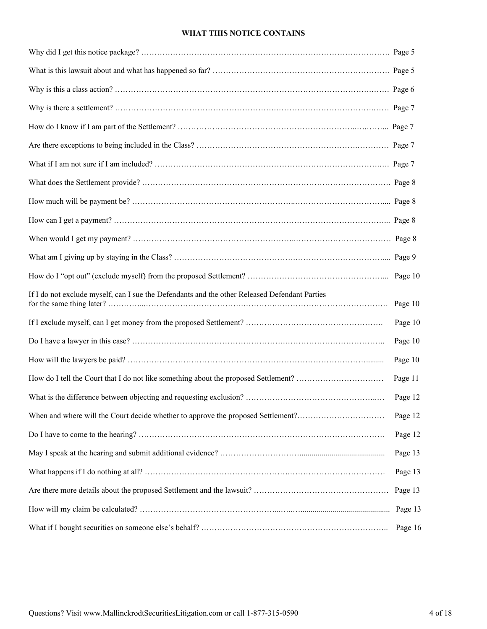# **WHAT THIS NOTICE CONTAINS**

| If I do not exclude myself, can I sue the Defendants and the other Released Defendant Parties | Page 10 |
|-----------------------------------------------------------------------------------------------|---------|
|                                                                                               | Page 10 |
|                                                                                               | Page 10 |
|                                                                                               | Page 10 |
| How do I tell the Court that I do not like something about the proposed Settlement?           | Page 11 |
|                                                                                               | Page 12 |
| When and where will the Court decide whether to approve the proposed Settlement?              | Page 12 |
|                                                                                               | Page 12 |
|                                                                                               | Page 13 |
|                                                                                               | Page 13 |
|                                                                                               | Page 13 |
|                                                                                               | Page 13 |
|                                                                                               | Page 16 |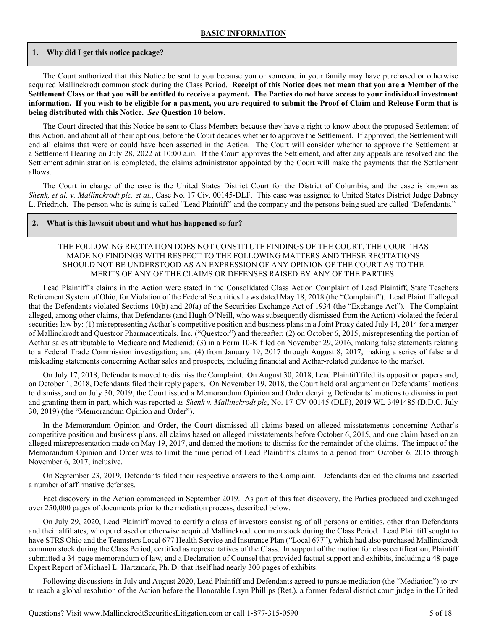### **1. Why did I get this notice package?**

The Court authorized that this Notice be sent to you because you or someone in your family may have purchased or otherwise acquired Mallinckrodt common stock during the Class Period. **Receipt of this Notice does not mean that you are a Member of the Settlement Class or that you will be entitled to receive a payment. The Parties do not have access to your individual investment information. If you wish to be eligible for a payment, you are required to submit the Proof of Claim and Release Form that is being distributed with this Notice.** *See* **Question 10 below.**

The Court directed that this Notice be sent to Class Members because they have a right to know about the proposed Settlement of this Action, and about all of their options, before the Court decides whether to approve the Settlement. If approved, the Settlement will end all claims that were or could have been asserted in the Action. The Court will consider whether to approve the Settlement at a Settlement Hearing on July 28, 2022 at 10:00 a.m. If the Court approves the Settlement, and after any appeals are resolved and the Settlement administration is completed, the claims administrator appointed by the Court will make the payments that the Settlement allows.

The Court in charge of the case is the United States District Court for the District of Columbia, and the case is known as *Shenk, et al. v. Mallinckrodt plc, et al.*, Case No. 17 Civ. 00145-DLF. This case was assigned to United States District Judge Dabney L. Friedrich. The person who is suing is called "Lead Plaintiff" and the company and the persons being sued are called "Defendants."

### **2. What is this lawsuit about and what has happened so far?**

## THE FOLLOWING RECITATION DOES NOT CONSTITUTE FINDINGS OF THE COURT. THE COURT HAS MADE NO FINDINGS WITH RESPECT TO THE FOLLOWING MATTERS AND THESE RECITATIONS SHOULD NOT BE UNDERSTOOD AS AN EXPRESSION OF ANY OPINION OF THE COURT AS TO THE MERITS OF ANY OF THE CLAIMS OR DEFENSES RAISED BY ANY OF THE PARTIES.

Lead Plaintiff's claims in the Action were stated in the Consolidated Class Action Complaint of Lead Plaintiff, State Teachers Retirement System of Ohio, for Violation of the Federal Securities Laws dated May 18, 2018 (the "Complaint"). Lead Plaintiff alleged that the Defendants violated Sections 10(b) and 20(a) of the Securities Exchange Act of 1934 (the "Exchange Act"). The Complaint alleged, among other claims, that Defendants (and Hugh O'Neill, who was subsequently dismissed from the Action) violated the federal securities law by: (1) misrepresenting Acthar's competitive position and business plans in a Joint Proxy dated July 14, 2014 for a merger of Mallinckrodt and Questcor Pharmaceuticals, Inc. ("Questcor") and thereafter; (2) on October 6, 2015, misrepresenting the portion of Acthar sales attributable to Medicare and Medicaid; (3) in a Form 10-K filed on November 29, 2016, making false statements relating to a Federal Trade Commission investigation; and (4) from January 19, 2017 through August 8, 2017, making a series of false and misleading statements concerning Acthar sales and prospects, including financial and Acthar-related guidance to the market.

On July 17, 2018, Defendants moved to dismiss the Complaint. On August 30, 2018, Lead Plaintiff filed its opposition papers and, on October 1, 2018, Defendants filed their reply papers. On November 19, 2018, the Court held oral argument on Defendants' motions to dismiss, and on July 30, 2019, the Court issued a Memorandum Opinion and Order denying Defendants' motions to dismiss in part and granting them in part, which was reported as *Shenk v. Mallinckrodt plc*, No. 17-CV-00145 (DLF), 2019 WL 3491485 (D.D.C. July 30, 2019) (the "Memorandum Opinion and Order").

In the Memorandum Opinion and Order, the Court dismissed all claims based on alleged misstatements concerning Acthar's competitive position and business plans, all claims based on alleged misstatements before October 6, 2015, and one claim based on an alleged misrepresentation made on May 19, 2017, and denied the motions to dismiss for the remainder of the claims. The impact of the Memorandum Opinion and Order was to limit the time period of Lead Plaintiff's claims to a period from October 6, 2015 through November 6, 2017, inclusive.

On September 23, 2019, Defendants filed their respective answers to the Complaint. Defendants denied the claims and asserted a number of affirmative defenses.

Fact discovery in the Action commenced in September 2019. As part of this fact discovery, the Parties produced and exchanged over 250,000 pages of documents prior to the mediation process, described below.

On July 29, 2020, Lead Plaintiff moved to certify a class of investors consisting of all persons or entities, other than Defendants and their affiliates, who purchased or otherwise acquired Mallinckrodt common stock during the Class Period. Lead Plaintiff sought to have STRS Ohio and the Teamsters Local 677 Health Service and Insurance Plan ("Local 677"), which had also purchased Mallinckrodt common stock during the Class Period, certified as representatives of the Class. In support of the motion for class certification, Plaintiff submitted a 34-page memorandum of law, and a Declaration of Counsel that provided factual support and exhibits, including a 48-page Expert Report of Michael L. Hartzmark, Ph. D. that itself had nearly 300 pages of exhibits.

Following discussions in July and August 2020, Lead Plaintiff and Defendants agreed to pursue mediation (the "Mediation") to try to reach a global resolution of the Action before the Honorable Layn Phillips (Ret.), a former federal district court judge in the United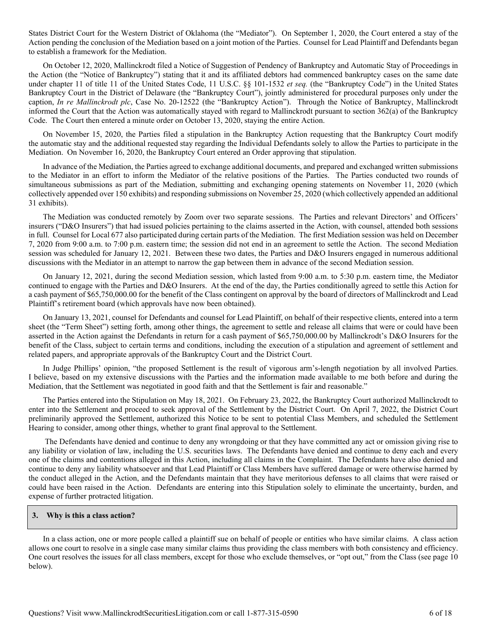States District Court for the Western District of Oklahoma (the "Mediator"). On September 1, 2020, the Court entered a stay of the Action pending the conclusion of the Mediation based on a joint motion of the Parties. Counsel for Lead Plaintiff and Defendants began to establish a framework for the Mediation.

On October 12, 2020, Mallinckrodt filed a Notice of Suggestion of Pendency of Bankruptcy and Automatic Stay of Proceedings in the Action (the "Notice of Bankruptcy") stating that it and its affiliated debtors had commenced bankruptcy cases on the same date under chapter 11 of title 11 of the United States Code, 11 U.S.C. §§ 101-1532 *et seq.* (the "Bankruptcy Code") in the United States Bankruptcy Court in the District of Delaware (the "Bankruptcy Court"), jointly administered for procedural purposes only under the caption, *In re Mallinckrodt plc*, Case No. 20-12522 (the "Bankruptcy Action"). Through the Notice of Bankruptcy, Mallinckrodt informed the Court that the Action was automatically stayed with regard to Mallinckrodt pursuant to section 362(a) of the Bankruptcy Code. The Court then entered a minute order on October 13, 2020, staying the entire Action.

On November 15, 2020, the Parties filed a stipulation in the Bankruptcy Action requesting that the Bankruptcy Court modify the automatic stay and the additional requested stay regarding the Individual Defendants solely to allow the Parties to participate in the Mediation. On November 16, 2020, the Bankruptcy Court entered an Order approving that stipulation.

In advance of the Mediation, the Parties agreed to exchange additional documents, and prepared and exchanged written submissions to the Mediator in an effort to inform the Mediator of the relative positions of the Parties. The Parties conducted two rounds of simultaneous submissions as part of the Mediation, submitting and exchanging opening statements on November 11, 2020 (which collectively appended over 150 exhibits) and responding submissions on November 25, 2020 (which collectively appended an additional 31 exhibits).

The Mediation was conducted remotely by Zoom over two separate sessions. The Parties and relevant Directors' and Officers' insurers ("D&O Insurers") that had issued policies pertaining to the claims asserted in the Action, with counsel, attended both sessions in full. Counsel for Local 677 also participated during certain parts of the Mediation. The first Mediation session was held on December 7, 2020 from 9:00 a.m. to 7:00 p.m. eastern time; the session did not end in an agreement to settle the Action. The second Mediation session was scheduled for January 12, 2021. Between these two dates, the Parties and D&O Insurers engaged in numerous additional discussions with the Mediator in an attempt to narrow the gap between them in advance of the second Mediation session.

On January 12, 2021, during the second Mediation session, which lasted from 9:00 a.m. to 5:30 p.m. eastern time, the Mediator continued to engage with the Parties and D&O Insurers. At the end of the day, the Parties conditionally agreed to settle this Action for a cash payment of \$65,750,000.00 for the benefit of the Class contingent on approval by the board of directors of Mallinckrodt and Lead Plaintiff's retirement board (which approvals have now been obtained).

On January 13, 2021, counsel for Defendants and counsel for Lead Plaintiff, on behalf of their respective clients, entered into a term sheet (the "Term Sheet") setting forth, among other things, the agreement to settle and release all claims that were or could have been asserted in the Action against the Defendants in return for a cash payment of \$65,750,000.00 by Mallinckrodt's D&O Insurers for the benefit of the Class, subject to certain terms and conditions, including the execution of a stipulation and agreement of settlement and related papers, and appropriate approvals of the Bankruptcy Court and the District Court.

In Judge Phillips' opinion, "the proposed Settlement is the result of vigorous arm's-length negotiation by all involved Parties. I believe, based on my extensive discussions with the Parties and the information made available to me both before and during the Mediation, that the Settlement was negotiated in good faith and that the Settlement is fair and reasonable."

The Parties entered into the Stipulation on May 18, 2021. On February 23, 2022, the Bankruptcy Court authorized Mallinckrodt to enter into the Settlement and proceed to seek approval of the Settlement by the District Court. On April 7, 2022, the District Court preliminarily approved the Settlement, authorized this Notice to be sent to potential Class Members, and scheduled the Settlement Hearing to consider, among other things, whether to grant final approval to the Settlement.

 The Defendants have denied and continue to deny any wrongdoing or that they have committed any act or omission giving rise to any liability or violation of law, including the U.S. securities laws. The Defendants have denied and continue to deny each and every one of the claims and contentions alleged in this Action, including all claims in the Complaint. The Defendants have also denied and continue to deny any liability whatsoever and that Lead Plaintiff or Class Members have suffered damage or were otherwise harmed by the conduct alleged in the Action, and the Defendants maintain that they have meritorious defenses to all claims that were raised or could have been raised in the Action. Defendants are entering into this Stipulation solely to eliminate the uncertainty, burden, and expense of further protracted litigation.

### **3. Why is this a class action?**

In a class action, one or more people called a plaintiff sue on behalf of people or entities who have similar claims. A class action allows one court to resolve in a single case many similar claims thus providing the class members with both consistency and efficiency. One court resolves the issues for all class members, except for those who exclude themselves, or "opt out," from the Class (see page 10 below).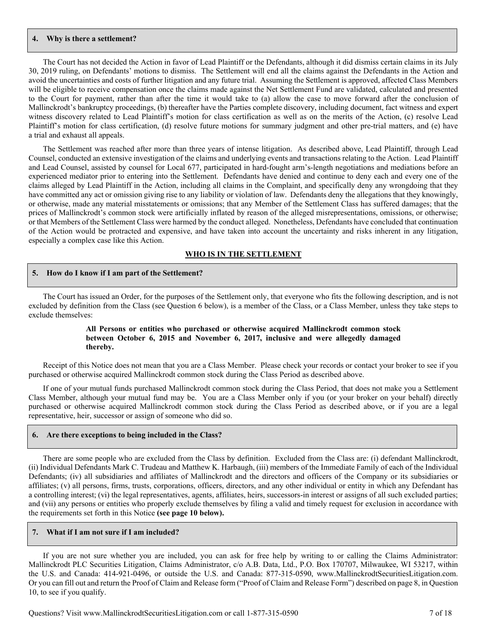### **4. Why is there a settlement?**

The Court has not decided the Action in favor of Lead Plaintiff or the Defendants, although it did dismiss certain claims in its July 30, 2019 ruling, on Defendants' motions to dismiss. The Settlement will end all the claims against the Defendants in the Action and avoid the uncertainties and costs of further litigation and any future trial. Assuming the Settlement is approved, affected Class Members will be eligible to receive compensation once the claims made against the Net Settlement Fund are validated, calculated and presented to the Court for payment, rather than after the time it would take to (a) allow the case to move forward after the conclusion of Mallinckrodt's bankruptcy proceedings, (b) thereafter have the Parties complete discovery, including document, fact witness and expert witness discovery related to Lead Plaintiff's motion for class certification as well as on the merits of the Action, (c) resolve Lead Plaintiff's motion for class certification, (d) resolve future motions for summary judgment and other pre-trial matters, and (e) have a trial and exhaust all appeals.

The Settlement was reached after more than three years of intense litigation. As described above, Lead Plaintiff, through Lead Counsel, conducted an extensive investigation of the claims and underlying events and transactions relating to the Action. Lead Plaintiff and Lead Counsel, assisted by counsel for Local 677, participated in hard-fought arm's-length negotiations and mediations before an experienced mediator prior to entering into the Settlement. Defendants have denied and continue to deny each and every one of the claims alleged by Lead Plaintiff in the Action, including all claims in the Complaint, and specifically deny any wrongdoing that they have committed any act or omission giving rise to any liability or violation of law. Defendants deny the allegations that they knowingly, or otherwise, made any material misstatements or omissions; that any Member of the Settlement Class has suffered damages; that the prices of Mallinckrodt's common stock were artificially inflated by reason of the alleged misrepresentations, omissions, or otherwise; or that Members of the Settlement Class were harmed by the conduct alleged. Nonetheless, Defendants have concluded that continuation of the Action would be protracted and expensive, and have taken into account the uncertainty and risks inherent in any litigation, especially a complex case like this Action.

## **WHO IS IN THE SETTLEMENT**

### **5. How do I know if I am part of the Settlement?**

The Court has issued an Order, for the purposes of the Settlement only, that everyone who fits the following description, and is not excluded by definition from the Class (see Question 6 below), is a member of the Class, or a Class Member, unless they take steps to exclude themselves:

## **All Persons or entities who purchased or otherwise acquired Mallinckrodt common stock between October 6, 2015 and November 6, 2017, inclusive and were allegedly damaged thereby.**

Receipt of this Notice does not mean that you are a Class Member. Please check your records or contact your broker to see if you purchased or otherwise acquired Mallinckrodt common stock during the Class Period as described above.

If one of your mutual funds purchased Mallinckrodt common stock during the Class Period, that does not make you a Settlement Class Member, although your mutual fund may be. You are a Class Member only if you (or your broker on your behalf) directly purchased or otherwise acquired Mallinckrodt common stock during the Class Period as described above, or if you are a legal representative, heir, successor or assign of someone who did so.

### **6. Are there exceptions to being included in the Class?**

There are some people who are excluded from the Class by definition. Excluded from the Class are: (i) defendant Mallinckrodt, (ii) Individual Defendants Mark C. Trudeau and Matthew K. Harbaugh, (iii) members of the Immediate Family of each of the Individual Defendants; (iv) all subsidiaries and affiliates of Mallinckrodt and the directors and officers of the Company or its subsidiaries or affiliates; (v) all persons, firms, trusts, corporations, officers, directors, and any other individual or entity in which any Defendant has a controlling interest; (vi) the legal representatives, agents, affiliates, heirs, successors-in interest or assigns of all such excluded parties; and (vii) any persons or entities who properly exclude themselves by filing a valid and timely request for exclusion in accordance with the requirements set forth in this Notice **(see page 10 below).**

## **7. What if I am not sure if I am included?**

If you are not sure whether you are included, you can ask for free help by writing to or calling the Claims Administrator: Mallinckrodt PLC Securities Litigation, Claims Administrator, c/o A.B. Data, Ltd., P.O. Box 170707, Milwaukee, WI 53217, within the U.S. and Canada: 414-921-0496, or outside the U.S. and Canada: 877-315-0590, www.MallinckrodtSecuritiesLitigation.com. Or you can fill out and return the Proof of Claim and Release form ("Proof of Claim and Release Form") described on page 8, in Question 10, to see if you qualify.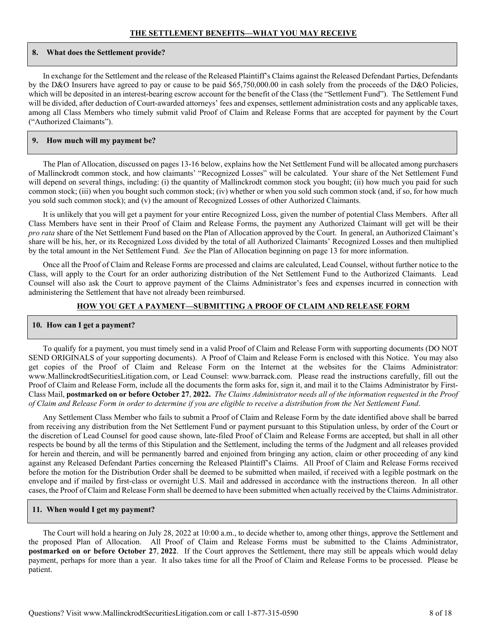## **8. What does the Settlement provide?**

In exchange for the Settlement and the release of the Released Plaintiff's Claims against the Released Defendant Parties, Defendants by the D&O Insurers have agreed to pay or cause to be paid \$65,750,000.00 in cash solely from the proceeds of the D&O Policies, which will be deposited in an interest-bearing escrow account for the benefit of the Class (the "Settlement Fund"). The Settlement Fund will be divided, after deduction of Court-awarded attorneys' fees and expenses, settlement administration costs and any applicable taxes, among all Class Members who timely submit valid Proof of Claim and Release Forms that are accepted for payment by the Court ("Authorized Claimants").

## **9. How much will my payment be?**

The Plan of Allocation, discussed on pages 13-16 below, explains how the Net Settlement Fund will be allocated among purchasers of Mallinckrodt common stock, and how claimants' "Recognized Losses" will be calculated. Your share of the Net Settlement Fund will depend on several things, including: (i) the quantity of Mallinckrodt common stock you bought; (ii) how much you paid for such common stock; (iii) when you bought such common stock; (iv) whether or when you sold such common stock (and, if so, for how much you sold such common stock); and (v) the amount of Recognized Losses of other Authorized Claimants.

It is unlikely that you will get a payment for your entire Recognized Loss, given the number of potential Class Members. After all Class Members have sent in their Proof of Claim and Release Forms, the payment any Authorized Claimant will get will be their *pro rata* share of the Net Settlement Fund based on the Plan of Allocation approved by the Court. In general, an Authorized Claimant's share will be his, her, or its Recognized Loss divided by the total of all Authorized Claimants' Recognized Losses and then multiplied by the total amount in the Net Settlement Fund. *See* the Plan of Allocation beginning on page 13 for more information.

Once all the Proof of Claim and Release Forms are processed and claims are calculated, Lead Counsel, without further notice to the Class, will apply to the Court for an order authorizing distribution of the Net Settlement Fund to the Authorized Claimants. Lead Counsel will also ask the Court to approve payment of the Claims Administrator's fees and expenses incurred in connection with administering the Settlement that have not already been reimbursed.

# **HOW YOU GET A PAYMENT—SUBMITTING A PROOF OF CLAIM AND RELEASE FORM**

# **10. How can I get a payment?**

To qualify for a payment, you must timely send in a valid Proof of Claim and Release Form with supporting documents (DO NOT SEND ORIGINALS of your supporting documents). A Proof of Claim and Release Form is enclosed with this Notice. You may also get copies of the Proof of Claim and Release Form on the Internet at the websites for the Claims Administrator: www.MallinckrodtSecuritiesLitigation.com, or Lead Counsel: www.barrack.com. Please read the instructions carefully, fill out the Proof of Claim and Release Form, include all the documents the form asks for, sign it, and mail it to the Claims Administrator by First-Class Mail, **postmarked on or before October 27**, **2022.** *The Claims Administrator needs all of the information requested in the Proof of Claim and Release Form in order to determine if you are eligible to receive a distribution from the Net Settlement Fund*.

Any Settlement Class Member who fails to submit a Proof of Claim and Release Form by the date identified above shall be barred from receiving any distribution from the Net Settlement Fund or payment pursuant to this Stipulation unless, by order of the Court or the discretion of Lead Counsel for good cause shown, late-filed Proof of Claim and Release Forms are accepted, but shall in all other respects be bound by all the terms of this Stipulation and the Settlement, including the terms of the Judgment and all releases provided for herein and therein, and will be permanently barred and enjoined from bringing any action, claim or other proceeding of any kind against any Released Defendant Parties concerning the Released Plaintiff's Claims. All Proof of Claim and Release Forms received before the motion for the Distribution Order shall be deemed to be submitted when mailed, if received with a legible postmark on the envelope and if mailed by first-class or overnight U.S. Mail and addressed in accordance with the instructions thereon. In all other cases, the Proof of Claim and Release Form shall be deemed to have been submitted when actually received by the Claims Administrator.

# **11. When would I get my payment?**

The Court will hold a hearing on July 28, 2022 at 10:00 a.m., to decide whether to, among other things, approve the Settlement and the proposed Plan of Allocation. All Proof of Claim and Release Forms must be submitted to the Claims Administrator, **postmarked on or before October 27**, **2022**. If the Court approves the Settlement, there may still be appeals which would delay payment, perhaps for more than a year. It also takes time for all the Proof of Claim and Release Forms to be processed. Please be patient.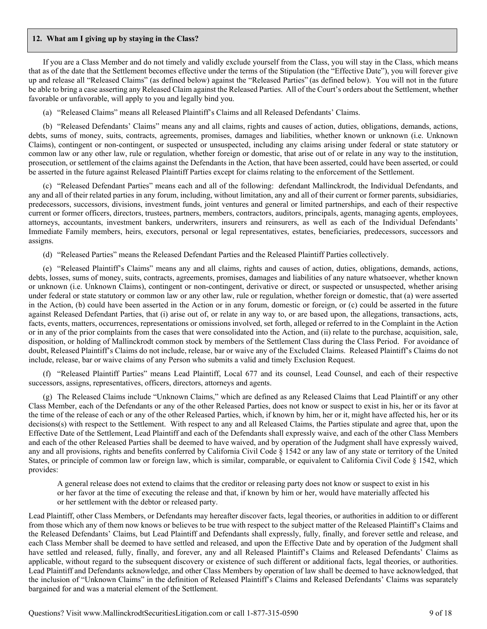# **12. What am I giving up by staying in the Class?**

If you are a Class Member and do not timely and validly exclude yourself from the Class, you will stay in the Class, which means that as of the date that the Settlement becomes effective under the terms of the Stipulation (the "Effective Date"), you will forever give up and release all "Released Claims" (as defined below) against the "Released Parties" (as defined below). You will not in the future be able to bring a case asserting any Released Claim against the Released Parties. All of the Court's orders about the Settlement, whether favorable or unfavorable, will apply to you and legally bind you.

(a) "Released Claims" means all Released Plaintiff's Claims and all Released Defendants' Claims.

(b) "Released Defendants' Claims" means any and all claims, rights and causes of action, duties, obligations, demands, actions, debts, sums of money, suits, contracts, agreements, promises, damages and liabilities, whether known or unknown (i.e. Unknown Claims), contingent or non-contingent, or suspected or unsuspected, including any claims arising under federal or state statutory or common law or any other law, rule or regulation, whether foreign or domestic, that arise out of or relate in any way to the institution, prosecution, or settlement of the claims against the Defendants in the Action, that have been asserted, could have been asserted, or could be asserted in the future against Released Plaintiff Parties except for claims relating to the enforcement of the Settlement.

(c) "Released Defendant Parties" means each and all of the following: defendant Mallinckrodt, the Individual Defendants, and any and all of their related parties in any forum, including, without limitation, any and all of their current or former parents, subsidiaries, predecessors, successors, divisions, investment funds, joint ventures and general or limited partnerships, and each of their respective current or former officers, directors, trustees, partners, members, contractors, auditors, principals, agents, managing agents, employees, attorneys, accountants, investment bankers, underwriters, insurers and reinsurers, as well as each of the Individual Defendants' Immediate Family members, heirs, executors, personal or legal representatives, estates, beneficiaries, predecessors, successors and assigns.

(d) "Released Parties" means the Released Defendant Parties and the Released Plaintiff Parties collectively.

(e) "Released Plaintiff's Claims" means any and all claims, rights and causes of action, duties, obligations, demands, actions, debts, losses, sums of money, suits, contracts, agreements, promises, damages and liabilities of any nature whatsoever, whether known or unknown (i.e. Unknown Claims), contingent or non-contingent, derivative or direct, or suspected or unsuspected, whether arising under federal or state statutory or common law or any other law, rule or regulation, whether foreign or domestic, that (a) were asserted in the Action, (b) could have been asserted in the Action or in any forum, domestic or foreign, or (c) could be asserted in the future against Released Defendant Parties, that (i) arise out of, or relate in any way to, or are based upon, the allegations, transactions, acts, facts, events, matters, occurrences, representations or omissions involved, set forth, alleged or referred to in the Complaint in the Action or in any of the prior complaints from the cases that were consolidated into the Action, and (ii) relate to the purchase, acquisition, sale, disposition, or holding of Mallinckrodt common stock by members of the Settlement Class during the Class Period. For avoidance of doubt, Released Plaintiff's Claims do not include, release, bar or waive any of the Excluded Claims. Released Plaintiff's Claims do not include, release, bar or waive claims of any Person who submits a valid and timely Exclusion Request.

(f) "Released Plaintiff Parties" means Lead Plaintiff, Local 677 and its counsel, Lead Counsel, and each of their respective successors, assigns, representatives, officers, directors, attorneys and agents.

(g) The Released Claims include "Unknown Claims," which are defined as any Released Claims that Lead Plaintiff or any other Class Member, each of the Defendants or any of the other Released Parties, does not know or suspect to exist in his, her or its favor at the time of the release of each or any of the other Released Parties, which, if known by him, her or it, might have affected his, her or its decisions(s) with respect to the Settlement. With respect to any and all Released Claims, the Parties stipulate and agree that, upon the Effective Date of the Settlement, Lead Plaintiff and each of the Defendants shall expressly waive, and each of the other Class Members and each of the other Released Parties shall be deemed to have waived, and by operation of the Judgment shall have expressly waived, any and all provisions, rights and benefits conferred by California Civil Code § 1542 or any law of any state or territory of the United States, or principle of common law or foreign law, which is similar, comparable, or equivalent to California Civil Code § 1542, which provides:

A general release does not extend to claims that the creditor or releasing party does not know or suspect to exist in his or her favor at the time of executing the release and that, if known by him or her, would have materially affected his or her settlement with the debtor or released party.

Lead Plaintiff, other Class Members, or Defendants may hereafter discover facts, legal theories, or authorities in addition to or different from those which any of them now knows or believes to be true with respect to the subject matter of the Released Plaintiff's Claims and the Released Defendants' Claims, but Lead Plaintiff and Defendants shall expressly, fully, finally, and forever settle and release, and each Class Member shall be deemed to have settled and released, and upon the Effective Date and by operation of the Judgment shall have settled and released, fully, finally, and forever, any and all Released Plaintiff's Claims and Released Defendants' Claims as applicable, without regard to the subsequent discovery or existence of such different or additional facts, legal theories, or authorities. Lead Plaintiff and Defendants acknowledge, and other Class Members by operation of law shall be deemed to have acknowledged, that the inclusion of "Unknown Claims" in the definition of Released Plaintiff's Claims and Released Defendants' Claims was separately bargained for and was a material element of the Settlement.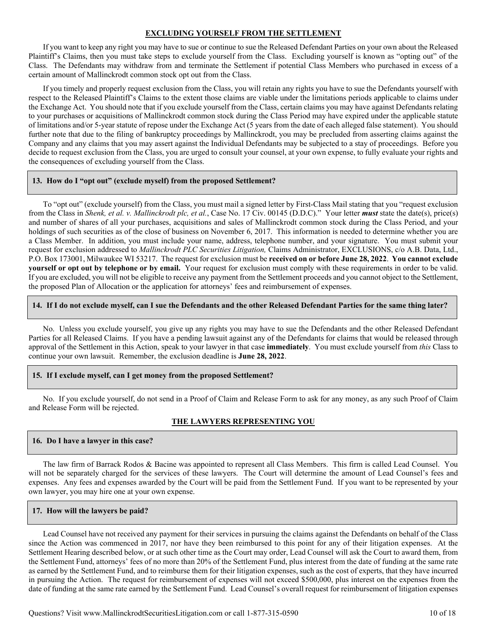# **EXCLUDING YOURSELF FROM THE SETTLEMENT**

If you want to keep any right you may have to sue or continue to sue the Released Defendant Parties on your own about the Released Plaintiff's Claims, then you must take steps to exclude yourself from the Class. Excluding yourself is known as "opting out" of the Class. The Defendants may withdraw from and terminate the Settlement if potential Class Members who purchased in excess of a certain amount of Mallinckrodt common stock opt out from the Class.

If you timely and properly request exclusion from the Class, you will retain any rights you have to sue the Defendants yourself with respect to the Released Plaintiff's Claims to the extent those claims are viable under the limitations periods applicable to claims under the Exchange Act. You should note that if you exclude yourself from the Class, certain claims you may have against Defendants relating to your purchases or acquisitions of Mallinckrodt common stock during the Class Period may have expired under the applicable statute of limitations and/or 5-year statute of repose under the Exchange Act (5 years from the date of each alleged false statement). You should further note that due to the filing of bankruptcy proceedings by Mallinckrodt, you may be precluded from asserting claims against the Company and any claims that you may assert against the Individual Defendants may be subjected to a stay of proceedings. Before you decide to request exclusion from the Class, you are urged to consult your counsel, at your own expense, to fully evaluate your rights and the consequences of excluding yourself from the Class.

# **13. How do I "opt out" (exclude myself) from the proposed Settlement?**

To "opt out" (exclude yourself) from the Class, you must mail a signed letter by First-Class Mail stating that you "request exclusion from the Class in *Shenk, et al. v. Mallinckrodt plc, et al.*, Case No. 17 Civ. 00145 (D.D.C)." Your letter *must* state the date(s), price(s) and number of shares of all your purchases, acquisitions and sales of Mallinckrodt common stock during the Class Period, and your holdings of such securities as of the close of business on November 6, 2017. This information is needed to determine whether you are a Class Member. In addition, you must include your name, address, telephone number, and your signature. You must submit your request for exclusion addressed to *Mallinckrodt PLC Securities Litigation,* Claims Administrator, EXCLUSIONS, c/o A.B. Data, Ltd., P.O. Box 173001, Milwaukee WI 53217. The request for exclusion must be **received on or before June 28, 2022**. **You cannot exclude yourself or opt out by telephone or by email.** Your request for exclusion must comply with these requirements in order to be valid. If you are excluded, you will not be eligible to receive any payment from the Settlement proceeds and you cannot object to the Settlement, the proposed Plan of Allocation or the application for attorneys' fees and reimbursement of expenses.

## **14. If I do not exclude myself, can I sue the Defendants and the other Released Defendant Parties for the same thing later?**

No. Unless you exclude yourself, you give up any rights you may have to sue the Defendants and the other Released Defendant Parties for all Released Claims. If you have a pending lawsuit against any of the Defendants for claims that would be released through approval of the Settlement in this Action, speak to your lawyer in that case **immediately**. You must exclude yourself from *this* Class to continue your own lawsuit. Remember, the exclusion deadline is **June 28, 2022**.

# **15. If I exclude myself, can I get money from the proposed Settlement?**

No. If you exclude yourself, do not send in a Proof of Claim and Release Form to ask for any money, as any such Proof of Claim and Release Form will be rejected.

# **THE LAWYERS REPRESENTING YOU**

### **16. Do I have a lawyer in this case?**

The law firm of Barrack Rodos & Bacine was appointed to represent all Class Members. This firm is called Lead Counsel. You will not be separately charged for the services of these lawyers. The Court will determine the amount of Lead Counsel's fees and expenses. Any fees and expenses awarded by the Court will be paid from the Settlement Fund. If you want to be represented by your own lawyer, you may hire one at your own expense.

### **17. How will the lawyers be paid?**

Lead Counsel have not received any payment for their services in pursuing the claims against the Defendants on behalf of the Class since the Action was commenced in 2017, nor have they been reimbursed to this point for any of their litigation expenses. At the Settlement Hearing described below, or at such other time as the Court may order, Lead Counsel will ask the Court to award them, from the Settlement Fund, attorneys' fees of no more than 20% of the Settlement Fund, plus interest from the date of funding at the same rate as earned by the Settlement Fund, and to reimburse them for their litigation expenses, such as the cost of experts, that they have incurred in pursuing the Action. The request for reimbursement of expenses will not exceed \$500,000, plus interest on the expenses from the date of funding at the same rate earned by the Settlement Fund. Lead Counsel's overall request for reimbursement of litigation expenses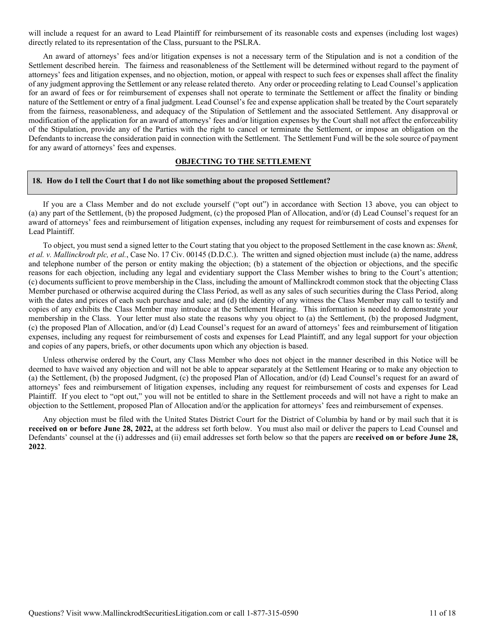will include a request for an award to Lead Plaintiff for reimbursement of its reasonable costs and expenses (including lost wages) directly related to its representation of the Class, pursuant to the PSLRA.

An award of attorneys' fees and/or litigation expenses is not a necessary term of the Stipulation and is not a condition of the Settlement described herein. The fairness and reasonableness of the Settlement will be determined without regard to the payment of attorneys' fees and litigation expenses, and no objection, motion, or appeal with respect to such fees or expenses shall affect the finality of any judgment approving the Settlement or any release related thereto. Any order or proceeding relating to Lead Counsel's application for an award of fees or for reimbursement of expenses shall not operate to terminate the Settlement or affect the finality or binding nature of the Settlement or entry of a final judgment. Lead Counsel's fee and expense application shall be treated by the Court separately from the fairness, reasonableness, and adequacy of the Stipulation of Settlement and the associated Settlement. Any disapproval or modification of the application for an award of attorneys' fees and/or litigation expenses by the Court shall not affect the enforceability of the Stipulation, provide any of the Parties with the right to cancel or terminate the Settlement, or impose an obligation on the Defendants to increase the consideration paid in connection with the Settlement. The Settlement Fund will be the sole source of payment for any award of attorneys' fees and expenses.

# **OBJECTING TO THE SETTLEMENT**

### **18. How do I tell the Court that I do not like something about the proposed Settlement?**

If you are a Class Member and do not exclude yourself ("opt out") in accordance with Section 13 above, you can object to (a) any part of the Settlement, (b) the proposed Judgment, (c) the proposed Plan of Allocation, and/or (d) Lead Counsel's request for an award of attorneys' fees and reimbursement of litigation expenses, including any request for reimbursement of costs and expenses for Lead Plaintiff.

To object, you must send a signed letter to the Court stating that you object to the proposed Settlement in the case known as: *Shenk, et al. v. Mallinckrodt plc, et al.*, Case No. 17 Civ. 00145 (D.D.C.). The written and signed objection must include (a) the name, address and telephone number of the person or entity making the objection; (b) a statement of the objection or objections, and the specific reasons for each objection, including any legal and evidentiary support the Class Member wishes to bring to the Court's attention; (c) documents sufficient to prove membership in the Class, including the amount of Mallinckrodt common stock that the objecting Class Member purchased or otherwise acquired during the Class Period, as well as any sales of such securities during the Class Period, along with the dates and prices of each such purchase and sale; and (d) the identity of any witness the Class Member may call to testify and copies of any exhibits the Class Member may introduce at the Settlement Hearing. This information is needed to demonstrate your membership in the Class. Your letter must also state the reasons why you object to (a) the Settlement, (b) the proposed Judgment, (c) the proposed Plan of Allocation, and/or (d) Lead Counsel's request for an award of attorneys' fees and reimbursement of litigation expenses, including any request for reimbursement of costs and expenses for Lead Plaintiff, and any legal support for your objection and copies of any papers, briefs, or other documents upon which any objection is based.

Unless otherwise ordered by the Court, any Class Member who does not object in the manner described in this Notice will be deemed to have waived any objection and will not be able to appear separately at the Settlement Hearing or to make any objection to (a) the Settlement, (b) the proposed Judgment, (c) the proposed Plan of Allocation, and/or (d) Lead Counsel's request for an award of attorneys' fees and reimbursement of litigation expenses, including any request for reimbursement of costs and expenses for Lead Plaintiff. If you elect to "opt out," you will not be entitled to share in the Settlement proceeds and will not have a right to make an objection to the Settlement, proposed Plan of Allocation and/or the application for attorneys' fees and reimbursement of expenses.

Any objection must be filed with the United States District Court for the District of Columbia by hand or by mail such that it is **received on or before June 28, 2022,** at the address set forth below. You must also mail or deliver the papers to Lead Counsel and Defendants' counsel at the (i) addresses and (ii) email addresses set forth below so that the papers are **received on or before June 28, 2022**.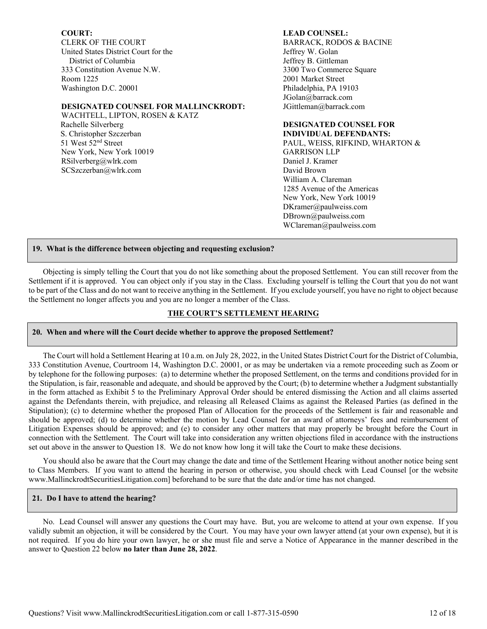### **COURT:**

CLERK OF THE COURT United States District Court for the District of Columbia 333 Constitution Avenue N.W. Room 1225 Washington D.C. 20001

# **DESIGNATED COUNSEL FOR MALLINCKRODT:**

WACHTELL, LIPTON, ROSEN & KATZ Rachelle Silverberg S. Christopher Szczerban 51 West 52nd Street New York, New York 10019 RSilverberg@wlrk.com SCSzczerban@wlrk.com

## **LEAD COUNSEL:**

BARRACK, RODOS & BACINE Jeffrey W. Golan Jeffrey B. Gittleman 3300 Two Commerce Square 2001 Market Street Philadelphia, PA 19103 JGolan@barrack.com JGittleman@barrack.com

#### **DESIGNATED COUNSEL FOR INDIVIDUAL DEFENDANTS:**

PAUL, WEISS, RIFKIND, WHARTON & GARRISON LLP Daniel J. Kramer David Brown William A. Clareman 1285 Avenue of the Americas New York, New York 10019 DKramer@paulweiss.com DBrown@paulweiss.com WClareman@paulweiss.com

## **19. What is the difference between objecting and requesting exclusion?**

Objecting is simply telling the Court that you do not like something about the proposed Settlement. You can still recover from the Settlement if it is approved. You can object only if you stay in the Class. Excluding yourself is telling the Court that you do not want to be part of the Class and do not want to receive anything in the Settlement. If you exclude yourself, you have no right to object because the Settlement no longer affects you and you are no longer a member of the Class.

# **THE COURT'S SETTLEMENT HEARING**

# **20. When and where will the Court decide whether to approve the proposed Settlement?**

The Court will hold a Settlement Hearing at 10 a.m. on July 28, 2022, in the United States District Court for the District of Columbia, 333 Constitution Avenue, Courtroom 14, Washington D.C. 20001, or as may be undertaken via a remote proceeding such as Zoom or by telephone for the following purposes: (a) to determine whether the proposed Settlement, on the terms and conditions provided for in the Stipulation, is fair, reasonable and adequate, and should be approved by the Court; (b) to determine whether a Judgment substantially in the form attached as Exhibit 5 to the Preliminary Approval Order should be entered dismissing the Action and all claims asserted against the Defendants therein, with prejudice, and releasing all Released Claims as against the Released Parties (as defined in the Stipulation); (c) to determine whether the proposed Plan of Allocation for the proceeds of the Settlement is fair and reasonable and should be approved; (d) to determine whether the motion by Lead Counsel for an award of attorneys' fees and reimbursement of Litigation Expenses should be approved; and (e) to consider any other matters that may properly be brought before the Court in connection with the Settlement. The Court will take into consideration any written objections filed in accordance with the instructions set out above in the answer to Question 18. We do not know how long it will take the Court to make these decisions.

You should also be aware that the Court may change the date and time of the Settlement Hearing without another notice being sent to Class Members. If you want to attend the hearing in person or otherwise, you should check with Lead Counsel [or the website www.MallinckrodtSecuritiesLitigation.com] beforehand to be sure that the date and/or time has not changed.

### **21. Do I have to attend the hearing?**

No. Lead Counsel will answer any questions the Court may have. But, you are welcome to attend at your own expense. If you validly submit an objection, it will be considered by the Court. You may have your own lawyer attend (at your own expense), but it is not required. If you do hire your own lawyer, he or she must file and serve a Notice of Appearance in the manner described in the answer to Question 22 below **no later than June 28, 2022**.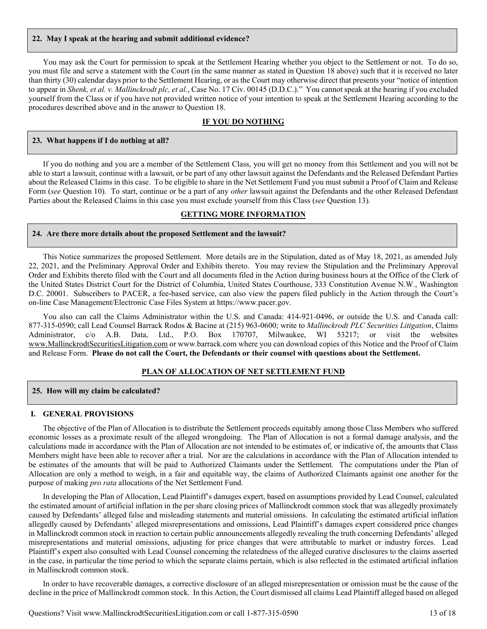## **22. May I speak at the hearing and submit additional evidence?**

You may ask the Court for permission to speak at the Settlement Hearing whether you object to the Settlement or not. To do so, you must file and serve a statement with the Court (in the same manner as stated in Question 18 above) such that it is received no later than thirty (30) calendar days prior to the Settlement Hearing, or as the Court may otherwise direct that presents your "notice of intention to appear in *Shenk, et al. v. Mallinckrodt plc, et al.*, Case No. 17 Civ. 00145 (D.D.C.)." You cannot speak at the hearing if you excluded yourself from the Class or if you have not provided written notice of your intention to speak at the Settlement Hearing according to the procedures described above and in the answer to Question 18.

# **IF YOU DO NOTHING**

## **23. What happens if I do nothing at all?**

If you do nothing and you are a member of the Settlement Class, you will get no money from this Settlement and you will not be able to start a lawsuit, continue with a lawsuit, or be part of any other lawsuit against the Defendants and the Released Defendant Parties about the Released Claims in this case. To be eligible to share in the Net Settlement Fund you must submit a Proof of Claim and Release Form (*see* Question 10). To start, continue or be a part of any *other* lawsuit against the Defendants and the other Released Defendant Parties about the Released Claims in this case you must exclude yourself from this Class (*see* Question 13).

# **GETTING MORE INFORMATION**

## **24. Are there more details about the proposed Settlement and the lawsuit?**

This Notice summarizes the proposed Settlement. More details are in the Stipulation, dated as of May 18, 2021, as amended July 22, 2021, and the Preliminary Approval Order and Exhibits thereto. You may review the Stipulation and the Preliminary Approval Order and Exhibits thereto filed with the Court and all documents filed in the Action during business hours at the Office of the Clerk of the United States District Court for the District of Columbia, United States Courthouse, 333 Constitution Avenue N.W., Washington D.C. 20001. Subscribers to PACER, a fee-based service, can also view the papers filed publicly in the Action through the Court's on-line Case Management/Electronic Case Files System at https://www.pacer.gov.

You also can call the Claims Administrator within the U.S. and Canada: 414-921-0496, or outside the U.S. and Canada call: 877-315-0590; call Lead Counsel Barrack Rodos & Bacine at (215) 963-0600; write to *Mallinckrodt PLC Securities Litigation*, Claims Administrator, c/o A.B. Data, Ltd., P.O. Box 170707, Milwaukee, WI 53217; or visit the websites www.MallinckrodtSecuritiesLitigation.com or www.barrack.com where you can download copies of this Notice and the Proof of Claim and Release Form. **Please do not call the Court, the Defendants or their counsel with questions about the Settlement.** 

# **PLAN OF ALLOCATION OF NET SETTLEMENT FUND**

### **25. How will my claim be calculated?**

### **I. GENERAL PROVISIONS**

The objective of the Plan of Allocation is to distribute the Settlement proceeds equitably among those Class Members who suffered economic losses as a proximate result of the alleged wrongdoing. The Plan of Allocation is not a formal damage analysis, and the calculations made in accordance with the Plan of Allocation are not intended to be estimates of, or indicative of, the amounts that Class Members might have been able to recover after a trial. Nor are the calculations in accordance with the Plan of Allocation intended to be estimates of the amounts that will be paid to Authorized Claimants under the Settlement. The computations under the Plan of Allocation are only a method to weigh, in a fair and equitable way, the claims of Authorized Claimants against one another for the purpose of making *pro rata* allocations of the Net Settlement Fund.

In developing the Plan of Allocation, Lead Plaintiff's damages expert, based on assumptions provided by Lead Counsel, calculated the estimated amount of artificial inflation in the per share closing prices of Mallinckrodt common stock that was allegedly proximately caused by Defendants' alleged false and misleading statements and material omissions. In calculating the estimated artificial inflation allegedly caused by Defendants' alleged misrepresentations and omissions, Lead Plaintiff's damages expert considered price changes in Mallinckrodt common stock in reaction to certain public announcements allegedly revealing the truth concerning Defendants' alleged misrepresentations and material omissions, adjusting for price changes that were attributable to market or industry forces. Lead Plaintiff's expert also consulted with Lead Counsel concerning the relatedness of the alleged curative disclosures to the claims asserted in the case, in particular the time period to which the separate claims pertain, which is also reflected in the estimated artificial inflation in Mallinckrodt common stock.

In order to have recoverable damages, a corrective disclosure of an alleged misrepresentation or omission must be the cause of the decline in the price of Mallinckrodt common stock. In this Action, the Court dismissed all claims Lead Plaintiff alleged based on alleged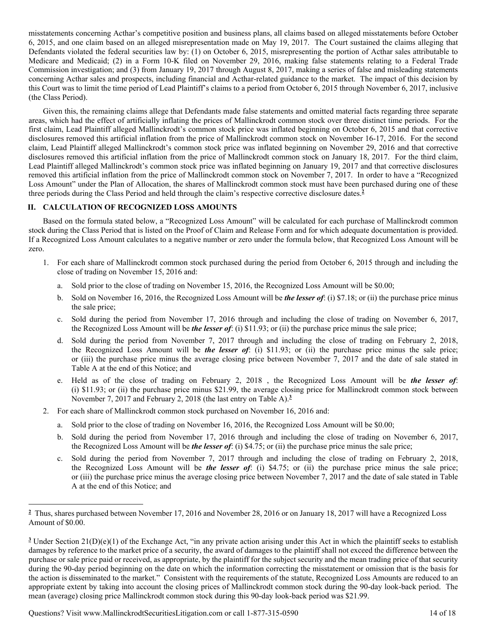misstatements concerning Acthar's competitive position and business plans, all claims based on alleged misstatements before October 6, 2015, and one claim based on an alleged misrepresentation made on May 19, 2017. The Court sustained the claims alleging that Defendants violated the federal securities law by: (1) on October 6, 2015, misrepresenting the portion of Acthar sales attributable to Medicare and Medicaid; (2) in a Form 10-K filed on November 29, 2016, making false statements relating to a Federal Trade Commission investigation; and (3) from January 19, 2017 through August 8, 2017, making a series of false and misleading statements concerning Acthar sales and prospects, including financial and Acthar-related guidance to the market. The impact of this decision by this Court was to limit the time period of Lead Plaintiff's claims to a period from October 6, 2015 through November 6, 2017, inclusive (the Class Period).

Given this, the remaining claims allege that Defendants made false statements and omitted material facts regarding three separate areas, which had the effect of artificially inflating the prices of Mallinckrodt common stock over three distinct time periods. For the first claim, Lead Plaintiff alleged Mallinckrodt's common stock price was inflated beginning on October 6, 2015 and that corrective disclosures removed this artificial inflation from the price of Mallinckrodt common stock on November 16-17, 2016. For the second claim, Lead Plaintiff alleged Mallinckrodt's common stock price was inflated beginning on November 29, 2016 and that corrective disclosures removed this artificial inflation from the price of Mallinckrodt common stock on January 18, 2017. For the third claim, Lead Plaintiff alleged Mallinckrodt's common stock price was inflated beginning on January 19, 2017 and that corrective disclosures removed this artificial inflation from the price of Mallinckrodt common stock on November 7, 2017. In order to have a "Recognized Loss Amount" under the Plan of Allocation, the shares of Mallinckrodt common stock must have been purchased during one of these three periods during the Class Period and held through the claim's respective corrective disclosure dates.**<sup>2</sup>**

# **II. CALCULATION OF RECOGNIZED LOSS AMOUNTS**

Based on the formula stated below, a "Recognized Loss Amount" will be calculated for each purchase of Mallinckrodt common stock during the Class Period that is listed on the Proof of Claim and Release Form and for which adequate documentation is provided. If a Recognized Loss Amount calculates to a negative number or zero under the formula below, that Recognized Loss Amount will be zero.

- 1. For each share of Mallinckrodt common stock purchased during the period from October 6, 2015 through and including the close of trading on November 15, 2016 and:
	- a. Sold prior to the close of trading on November 15, 2016, the Recognized Loss Amount will be \$0.00;
	- b. Sold on November 16, 2016, the Recognized Loss Amount will be *the lesser of*: (i) \$7.18; or (ii) the purchase price minus the sale price;
	- c. Sold during the period from November 17, 2016 through and including the close of trading on November 6, 2017, the Recognized Loss Amount will be *the lesser of*: (i) \$11.93; or (ii) the purchase price minus the sale price;
	- d. Sold during the period from November 7, 2017 through and including the close of trading on February 2, 2018, the Recognized Loss Amount will be *the lesser of*: (i) \$11.93; or (ii) the purchase price minus the sale price; or (iii) the purchase price minus the average closing price between November 7, 2017 and the date of sale stated in Table A at the end of this Notice; and
	- e. Held as of the close of trading on February 2, 2018 , the Recognized Loss Amount will be *the lesser of*: (i) \$11.93; or (ii) the purchase price minus \$21.99, the average closing price for Mallinckrodt common stock between November 7, 2017 and February 2, 2018 (the last entry on Table A).**<sup>3</sup>**
- 2. For each share of Mallinckrodt common stock purchased on November 16, 2016 and:
	- a. Sold prior to the close of trading on November 16, 2016, the Recognized Loss Amount will be \$0.00;
	- b. Sold during the period from November 17, 2016 through and including the close of trading on November 6, 2017, the Recognized Loss Amount will be *the lesser of*: (i) \$4.75; or (ii) the purchase price minus the sale price;
	- c. Sold during the period from November 7, 2017 through and including the close of trading on February 2, 2018, the Recognized Loss Amount will be *the lesser of*: (i) \$4.75; or (ii) the purchase price minus the sale price; or (iii) the purchase price minus the average closing price between November 7, 2017 and the date of sale stated in Table A at the end of this Notice; and

**<sup>2</sup>** Thus, shares purchased between November 17, 2016 and November 28, 2016 or on January 18, 2017 will have a Recognized Loss Amount of \$0.00.

<sup>&</sup>lt;sup>3</sup> Under Section  $21(D)(e)(1)$  of the Exchange Act, "in any private action arising under this Act in which the plaintiff seeks to establish damages by reference to the market price of a security, the award of damages to the plaintiff shall not exceed the difference between the purchase or sale price paid or received, as appropriate, by the plaintiff for the subject security and the mean trading price of that security during the 90-day period beginning on the date on which the information correcting the misstatement or omission that is the basis for the action is disseminated to the market." Consistent with the requirements of the statute, Recognized Loss Amounts are reduced to an appropriate extent by taking into account the closing prices of Mallinckrodt common stock during the 90-day look-back period. The mean (average) closing price Mallinckrodt common stock during this 90-day look-back period was \$21.99.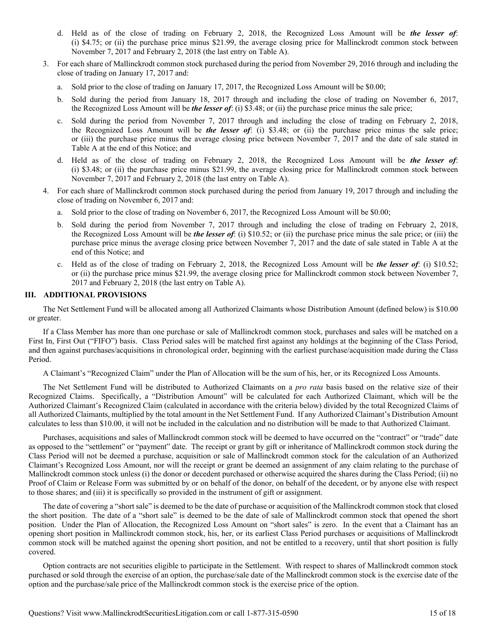- d. Held as of the close of trading on February 2, 2018, the Recognized Loss Amount will be *the lesser of*: (i) \$4.75; or (ii) the purchase price minus \$21.99, the average closing price for Mallinckrodt common stock between November 7, 2017 and February 2, 2018 (the last entry on Table A).
- 3. For each share of Mallinckrodt common stock purchased during the period from November 29, 2016 through and including the close of trading on January 17, 2017 and:
	- a. Sold prior to the close of trading on January 17, 2017, the Recognized Loss Amount will be \$0.00;
	- b. Sold during the period from January 18, 2017 through and including the close of trading on November 6, 2017, the Recognized Loss Amount will be *the lesser of*: (i) \$3.48; or (ii) the purchase price minus the sale price;
	- c. Sold during the period from November 7, 2017 through and including the close of trading on February 2, 2018, the Recognized Loss Amount will be *the lesser of*: (i) \$3.48; or (ii) the purchase price minus the sale price; or (iii) the purchase price minus the average closing price between November 7, 2017 and the date of sale stated in Table A at the end of this Notice; and
	- d. Held as of the close of trading on February 2, 2018, the Recognized Loss Amount will be *the lesser of*: (i) \$3.48; or (ii) the purchase price minus \$21.99, the average closing price for Mallinckrodt common stock between November 7, 2017 and February 2, 2018 (the last entry on Table A).
- 4. For each share of Mallinckrodt common stock purchased during the period from January 19, 2017 through and including the close of trading on November 6, 2017 and:
	- a. Sold prior to the close of trading on November 6, 2017, the Recognized Loss Amount will be \$0.00;
	- b. Sold during the period from November 7, 2017 through and including the close of trading on February 2, 2018, the Recognized Loss Amount will be *the lesser of*: (i) \$10.52; or (ii) the purchase price minus the sale price; or (iii) the purchase price minus the average closing price between November 7, 2017 and the date of sale stated in Table A at the end of this Notice; and
	- c. Held as of the close of trading on February 2, 2018, the Recognized Loss Amount will be *the lesser of*: (i) \$10.52; or (ii) the purchase price minus \$21.99, the average closing price for Mallinckrodt common stock between November 7, 2017 and February 2, 2018 (the last entry on Table A).

### **III. ADDITIONAL PROVISIONS**

The Net Settlement Fund will be allocated among all Authorized Claimants whose Distribution Amount (defined below) is \$10.00 or greater.

If a Class Member has more than one purchase or sale of Mallinckrodt common stock, purchases and sales will be matched on a First In, First Out ("FIFO") basis. Class Period sales will be matched first against any holdings at the beginning of the Class Period, and then against purchases/acquisitions in chronological order, beginning with the earliest purchase/acquisition made during the Class Period.

A Claimant's "Recognized Claim" under the Plan of Allocation will be the sum of his, her, or its Recognized Loss Amounts.

The Net Settlement Fund will be distributed to Authorized Claimants on a *pro rata* basis based on the relative size of their Recognized Claims. Specifically, a "Distribution Amount" will be calculated for each Authorized Claimant, which will be the Authorized Claimant's Recognized Claim (calculated in accordance with the criteria below) divided by the total Recognized Claims of all Authorized Claimants, multiplied by the total amount in the Net Settlement Fund. If any Authorized Claimant's Distribution Amount calculates to less than \$10.00, it will not be included in the calculation and no distribution will be made to that Authorized Claimant.

Purchases, acquisitions and sales of Mallinckrodt common stock will be deemed to have occurred on the "contract" or "trade" date as opposed to the "settlement" or "payment" date. The receipt or grant by gift or inheritance of Mallinckrodt common stock during the Class Period will not be deemed a purchase, acquisition or sale of Mallinckrodt common stock for the calculation of an Authorized Claimant's Recognized Loss Amount, nor will the receipt or grant be deemed an assignment of any claim relating to the purchase of Mallinckrodt common stock unless (i) the donor or decedent purchased or otherwise acquired the shares during the Class Period; (ii) no Proof of Claim or Release Form was submitted by or on behalf of the donor, on behalf of the decedent, or by anyone else with respect to those shares; and (iii) it is specifically so provided in the instrument of gift or assignment.

The date of covering a "short sale" is deemed to be the date of purchase or acquisition of the Mallinckrodt common stock that closed the short position. The date of a "short sale" is deemed to be the date of sale of Mallinckrodt common stock that opened the short position. Under the Plan of Allocation, the Recognized Loss Amount on "short sales" is zero. In the event that a Claimant has an opening short position in Mallinckrodt common stock, his, her, or its earliest Class Period purchases or acquisitions of Mallinckrodt common stock will be matched against the opening short position, and not be entitled to a recovery, until that short position is fully covered.

Option contracts are not securities eligible to participate in the Settlement. With respect to shares of Mallinckrodt common stock purchased or sold through the exercise of an option, the purchase/sale date of the Mallinckrodt common stock is the exercise date of the option and the purchase/sale price of the Mallinckrodt common stock is the exercise price of the option.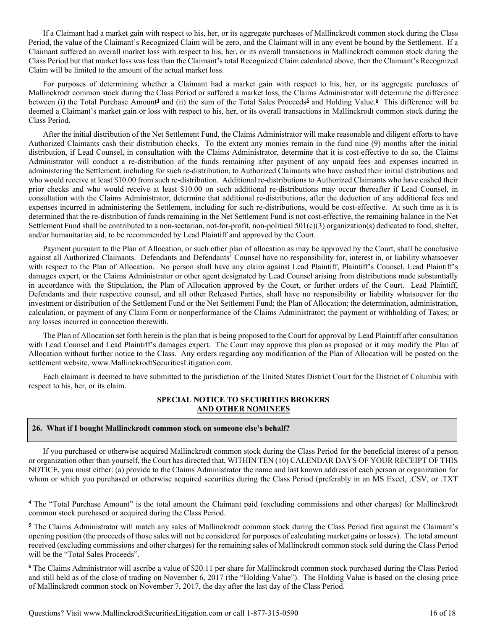If a Claimant had a market gain with respect to his, her, or its aggregate purchases of Mallinckrodt common stock during the Class Period, the value of the Claimant's Recognized Claim will be zero, and the Claimant will in any event be bound by the Settlement. If a Claimant suffered an overall market loss with respect to his, her, or its overall transactions in Mallinckrodt common stock during the Class Period but that market loss was less than the Claimant's total Recognized Claim calculated above, then the Claimant's Recognized Claim will be limited to the amount of the actual market loss.

For purposes of determining whether a Claimant had a market gain with respect to his, her, or its aggregate purchases of Mallinckrodt common stock during the Class Period or suffered a market loss, the Claims Administrator will determine the difference between (i) the Total Purchase Amount<sup>4</sup> and (ii) the sum of the Total Sales Proceeds<sup>5</sup> and Holding Value.<sup>6</sup> This difference will be deemed a Claimant's market gain or loss with respect to his, her, or its overall transactions in Mallinckrodt common stock during the Class Period.

After the initial distribution of the Net Settlement Fund, the Claims Administrator will make reasonable and diligent efforts to have Authorized Claimants cash their distribution checks. To the extent any monies remain in the fund nine (9) months after the initial distribution, if Lead Counsel, in consultation with the Claims Administrator, determine that it is cost-effective to do so, the Claims Administrator will conduct a re-distribution of the funds remaining after payment of any unpaid fees and expenses incurred in administering the Settlement, including for such re-distribution, to Authorized Claimants who have cashed their initial distributions and who would receive at least \$10.00 from such re-distribution. Additional re-distributions to Authorized Claimants who have cashed their prior checks and who would receive at least \$10.00 on such additional re-distributions may occur thereafter if Lead Counsel, in consultation with the Claims Administrator, determine that additional re-distributions, after the deduction of any additional fees and expenses incurred in administering the Settlement, including for such re-distributions, would be cost-effective. At such time as it is determined that the re-distribution of funds remaining in the Net Settlement Fund is not cost-effective, the remaining balance in the Net Settlement Fund shall be contributed to a non-sectarian, not-for-profit, non-political 501(c)(3) organization(s) dedicated to food, shelter, and/or humanitarian aid, to be recommended by Lead Plaintiff and approved by the Court.

Payment pursuant to the Plan of Allocation, or such other plan of allocation as may be approved by the Court, shall be conclusive against all Authorized Claimants. Defendants and Defendants' Counsel have no responsibility for, interest in, or liability whatsoever with respect to the Plan of Allocation. No person shall have any claim against Lead Plaintiff, Plaintiff's Counsel, Lead Plaintiff's damages expert, or the Claims Administrator or other agent designated by Lead Counsel arising from distributions made substantially in accordance with the Stipulation, the Plan of Allocation approved by the Court, or further orders of the Court. Lead Plaintiff, Defendants and their respective counsel, and all other Released Parties, shall have no responsibility or liability whatsoever for the investment or distribution of the Settlement Fund or the Net Settlement Fund; the Plan of Allocation; the determination, administration, calculation, or payment of any Claim Form or nonperformance of the Claims Administrator; the payment or withholding of Taxes; or any losses incurred in connection therewith.

The Plan of Allocation set forth herein is the plan that is being proposed to the Court for approval by Lead Plaintiff after consultation with Lead Counsel and Lead Plaintiff's damages expert. The Court may approve this plan as proposed or it may modify the Plan of Allocation without further notice to the Class. Any orders regarding any modification of the Plan of Allocation will be posted on the settlement website, www.MallinckrodtSecuritiesLitigation.com.

Each claimant is deemed to have submitted to the jurisdiction of the United States District Court for the District of Columbia with respect to his, her, or its claim.

# **SPECIAL NOTICE TO SECURITIES BROKERS AND OTHER NOMINEES**

### **26. What if I bought Mallinckrodt common stock on someone else's behalf?**

If you purchased or otherwise acquired Mallinckrodt common stock during the Class Period for the beneficial interest of a person or organization other than yourself, the Court has directed that, WITHIN TEN (10) CALENDAR DAYS OF YOUR RECEIPT OF THIS NOTICE, you must either: (a) provide to the Claims Administrator the name and last known address of each person or organization for whom or which you purchased or otherwise acquired securities during the Class Period (preferably in an MS Excel, .CSV, or .TXT

<sup>&</sup>lt;sup>4</sup> The "Total Purchase Amount" is the total amount the Claimant paid (excluding commissions and other charges) for Mallinckrodt common stock purchased or acquired during the Class Period.

<sup>&</sup>lt;sup>5</sup> The Claims Administrator will match any sales of Mallinckrodt common stock during the Class Period first against the Claimant's opening position (the proceeds of those sales will not be considered for purposes of calculating market gains or losses). The total amount received (excluding commissions and other charges) for the remaining sales of Mallinckrodt common stock sold during the Class Period will be the "Total Sales Proceeds".

<sup>&</sup>lt;sup>6</sup> The Claims Administrator will ascribe a value of \$20.11 per share for Mallinckrodt common stock purchased during the Class Period and still held as of the close of trading on November 6, 2017 (the "Holding Value"). The Holding Value is based on the closing price of Mallinckrodt common stock on November 7, 2017, the day after the last day of the Class Period.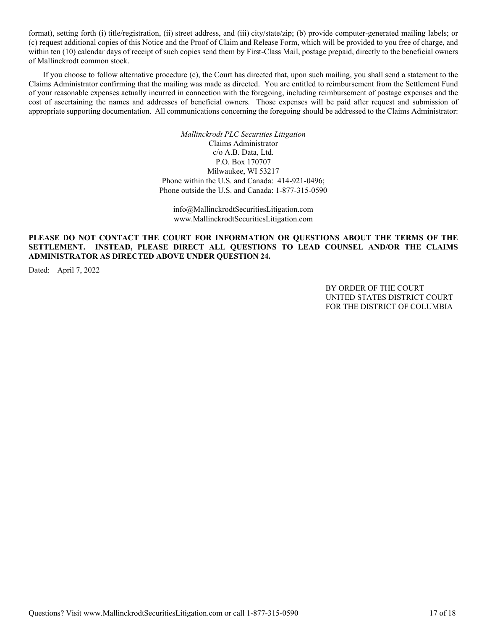format), setting forth (i) title/registration, (ii) street address, and (iii) city/state/zip; (b) provide computer-generated mailing labels; or (c) request additional copies of this Notice and the Proof of Claim and Release Form, which will be provided to you free of charge, and within ten (10) calendar days of receipt of such copies send them by First-Class Mail, postage prepaid, directly to the beneficial owners of Mallinckrodt common stock.

If you choose to follow alternative procedure (c), the Court has directed that, upon such mailing, you shall send a statement to the Claims Administrator confirming that the mailing was made as directed. You are entitled to reimbursement from the Settlement Fund of your reasonable expenses actually incurred in connection with the foregoing, including reimbursement of postage expenses and the cost of ascertaining the names and addresses of beneficial owners. Those expenses will be paid after request and submission of appropriate supporting documentation. All communications concerning the foregoing should be addressed to the Claims Administrator:

> *Mallinckrodt PLC Securities Litigation* Claims Administrator c/o A.B. Data, Ltd. P.O. Box 170707 Milwaukee, WI 53217 Phone within the U.S. and Canada: 414-921-0496; Phone outside the U.S. and Canada: 1-877-315-0590

info@MallinckrodtSecuritiesLitigation.com www.MallinckrodtSecuritiesLitigation.com

## **PLEASE DO NOT CONTACT THE COURT FOR INFORMATION OR QUESTIONS ABOUT THE TERMS OF THE SETTLEMENT. INSTEAD, PLEASE DIRECT ALL QUESTIONS TO LEAD COUNSEL AND/OR THE CLAIMS ADMINISTRATOR AS DIRECTED ABOVE UNDER QUESTION 24.**

Dated: April 7, 2022

BY ORDER OF THE COURT UNITED STATES DISTRICT COURT FOR THE DISTRICT OF COLUMBIA